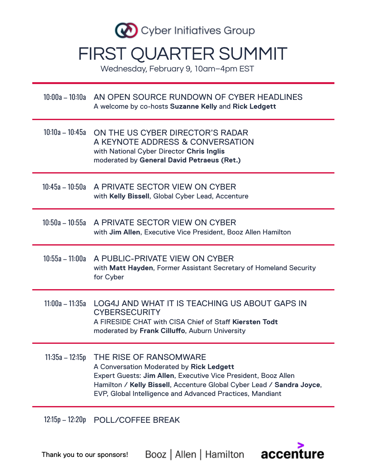

Wednesday, February 9, 10am–4pm EST

|                   | 10:00a - 10:10a AN OPEN SOURCE RUNDOWN OF CYBER HEADLINES<br>A welcome by co-hosts Suzanne Kelly and Rick Ledgett                                                                                                                                                          |
|-------------------|----------------------------------------------------------------------------------------------------------------------------------------------------------------------------------------------------------------------------------------------------------------------------|
|                   | 10:10a - 10:45a ON THE US CYBER DIRECTOR'S RADAR<br>A KEYNOTE ADDRESS & CONVERSATION<br>with National Cyber Director Chris Inglis<br>moderated by General David Petraeus (Ret.)                                                                                            |
|                   | 10:45a - 10:50a A PRIVATE SECTOR VIEW ON CYBER<br>with Kelly Bissell, Global Cyber Lead, Accenture                                                                                                                                                                         |
|                   | 10:50a - 10:55a A PRIVATE SECTOR VIEW ON CYBER<br>with Jim Allen, Executive Vice President, Booz Allen Hamilton                                                                                                                                                            |
|                   | 10:55a - 11:00a A PUBLIC-PRIVATE VIEW ON CYBER<br>with Matt Hayden, Former Assistant Secretary of Homeland Security<br>for Cyber                                                                                                                                           |
| 11:00a - 11:35a   | LOG4J AND WHAT IT IS TEACHING US ABOUT GAPS IN<br><b>CYBERSECURITY</b><br>A FIRESIDE CHAT with CISA Chief of Staff Kiersten Todt<br>moderated by Frank Cilluffo, Auburn University                                                                                         |
| $11:35a - 12:15p$ | THE RISE OF RANSOMWARE<br>A Conversation Moderated by Rick Ledgett<br>Expert Guests: Jim Allen, Executive Vice President, Booz Allen<br>Hamilton / Kelly Bissell, Accenture Global Cyber Lead / Sandra Joyce,<br>EVP, Global Intelligence and Advanced Practices, Mandiant |
| $12:15p - 12:20p$ | POLL/COFFEE BREAK                                                                                                                                                                                                                                                          |